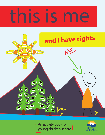# this is me



An activity book for young children in care

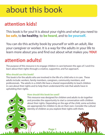### about this book

### **attention kids!**

This book is for you! It is about your rights and what you need to **be safe**, to **be healthy**, to **be heard**, and to **be yourself.**

You can do this activity book by yourself or with an adult, like your caregiver or worker. It is a way for the adults in your life to learn more about you and find out about what makes you **YOU!**

### **attention adults!**

The purpose of this resource is to engage children in care between the ages of 3 and 8 to learn about their rights through a creative, supportive, and fun approach.

#### **Who should use this book?**

This book is for the adults who are involved in the life of a child who is in care. These adults include: workers, family members, caregivers, community members, and professionals. The adults in a child's life have a shared responsibility to teach children in care about their rights and to help them understand the role that adults have in upholding their rights.

**Page 1**

#### **How should this book be used?**

This resource was designed for children and adults to do together and provides the opportunity to start a conversation with children about their rights. Depending on the age of the child, some activities are appropriate for children to do on their own. Consider the cultural identity of children as you explore their rights with them.

**Made to 41**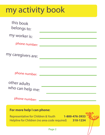## my activity book

| this book<br>belongs to:            |                                                                          |
|-------------------------------------|--------------------------------------------------------------------------|
| my worker is:                       |                                                                          |
|                                     |                                                                          |
| my caregivers are:                  |                                                                          |
| phone number:                       |                                                                          |
| other adults<br>who can help me:    |                                                                          |
| phone number:                       |                                                                          |
| For more help I can phone:          |                                                                          |
| Representative for Children & Youth | 1-800-476-3933<br>Helpline for Children (no area code required) 310-1234 |
|                                     | Page 2                                                                   |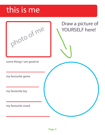### this is me

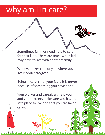### why am I in care?

Sometimes families need help to care for their kids. There are times when kids may have to live with another family.

Whoever takes care of you where you live is your caregiver.

Being in care is not your fault. It is **never**  because of something you have done.

Your worker and caregivers help you and your parents make sure you have a safe place to live and that you are taken care of.

**Page 4**

Mada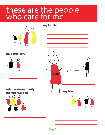### these are the people who care for me

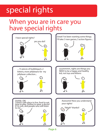## special rights

### When you are in care you have special rights

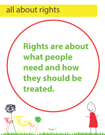### all about rights

# **Rights are about what people need and how they should be treated.**

**Page 7**

 $0$ aa $\omega$ 

hhdida

 $\sim$   $\Lambda$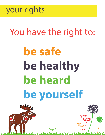

# You have the right to:

# **be safe be healthy be heard be yourself**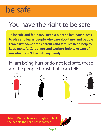### be safe

### You have the right to be safe

**To be safe and feel safe, I need a place to live, safe places to play and learn, people who care about me, and people I can trust. Sometimes parents and families need help to keep me safe. Caregivers and workers help take care of me when I can't live with my family.** 

If I am being hurt or do not feel safe, these are the people I trust that I can tell:



Adults: Discuss how you might contact the people the child has identified.

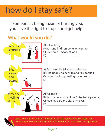### how do I stay safe?

If someone is being mean or hurting you, you have the right to stop it and get help.

### What would you do?



A) Tell nobody B) Run and find someone to help me C) Give my #1 meanest look

A) Eat my entire jellybean collection B) Find people to be with and talk about it C) Hope that I stop feeling scared soon  $D)$ 

A) Yell back B) Tell the person that I don't like to be yelled at C) Plug my ears and close my eyes

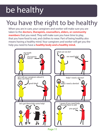# be healthy

### You have the right to be healthy

When you are in care, your caregivers and worker will make sure you are taken to the **doctors, therapists, counsellors, elders, or community members** that you need. They will make sure you have time to play, that you have food to eat, and clothes to wear. Part of being healthy also means having a healthy mind. Your caregivers and worker will get you the help you need to have a **healthy body and a healthy mind.**

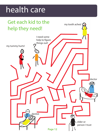### health care

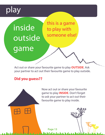play



Act out or share your favourite game to play **OUTSIDE**. Ask your partner to act out their favourite game to play outside.

#### **Did you guess??**

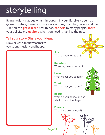# storytelling

Being healthy is about what is important in your life. Like a tree that grows in nature, it needs strong roots, a trunk, branches, leaves, and the sun. You can **grow**, **learn** new things, **connect** to many people, **share** your beliefs, and **get help** when you need it, just like the tree.

#### **Tell your story. Share your ideas.**

Draw or write about what makes you strong, healthy, and happy.

#### **Sun:**

What do you like to do?

**Branches:**  Who are you connected to?

**Leaves:**  What makes you special?

#### **Trunk:**

**Page 14**

What makes you strong?

#### **Roots:**  What do you believe in and what is important to you?

**Flowers:**  What help do you need?

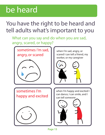### be heard

### You have the right to be heard and tell adults what's important to you

What can you say and do when you are sad, angry, scared, or happy?

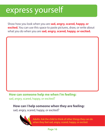### express yourself

Show how you look when you are **sad, angry, scared, happy, or excited.** You can use this space to paste pictures, draw, or write about what you do when you are **sad, angry, scared, happy, or excited.**

#### **How can someone help me when I'm feeling:**

sad, angry, scared, happy, or excited?

#### **How can I help someone when they are feeling:**

sad, angry, scared, happy, or excited?



Adults: Ask the child to think of other things they can do when they feel sad, angry, scared, happy, or excited.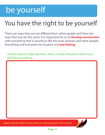### be yourself

### You have the right to be yourself

There are ways that you are different from other people and there are ways that you are the same. It is important for us to **develop connections** with everything that is around us like the land, animals, and other people. Everything and everyone has its place and **you belong.**

Use this space to glue pictures, write, or draw the places where you feel like you belong.



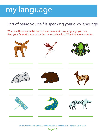### my language

### Part of being yourself is speaking your own language.

What are these animals? Name these animals in any language you can. Find your favourite animal on the page and circle it. Why is it your favourite?



Illustrations by Carl and Shane Stromquist; copyright 2010 Legacies Now, 2010.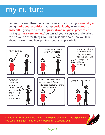### my culture

Everyone has a **culture**. Sometimes it means celebrating **special days,** doing **traditional activities,** eating **special foods,** learning **music and crafts,** going to places for **spiritual and religious practices,** or having **cultural ceremonies.** You can ask your caregivers and workers to help you do these things. Your culture is also about how you think about the world and how you feel about your place in it.



Adults: Ask kids to share their cultural and spiritual interests and experiences. You can use the questions on the next page as a starting point.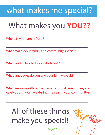### what makes me special?

### What makes you **YOU??**

Where is your family from?

What makes your family and community special?

What kind of foods do you like to eat?

What languages do you and your family speak?

What are some different activities, cultural ceremonies, and celebrations you have during the year in your community?

### All of these things make you special!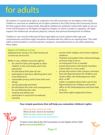### for adults

All children in Canada have rights as outlined in the UN Convention on the Rights of the Child. Children in care have an additional set of rights outlined in the *Child, Family and Community Service Act* that support their unique needs. Aboriginal children are entitled to enjoy their rights as set out in the *UN Declaration on the Rights of Indigenous Peoples*, to which Canada is a signatory. All rights support the intellectual, emotional, physical, cultural, and spiritual development of children.

Children in care must be informed of their legal rights at a level suited to their age and comprehension and these rights should be reviewed with the child on an ongoing basis. This child rights activity booklet is a tool for parents, caregivers, and professionals to use while explaining these rights.

#### **Rights of Children in Care**

(Adapted from Section 70, *Child, Family and Community Service Act*)

While in care, children have the right to:

- be cared for fairly and equally to other children in the community and in the placement
- be told about their plan of care
- • participate in decisions affecting them and to be listened to
- • reasonable privacy and to have their own things
- not be physically punished
- be told about the rules and consequences for not following the rules
- • medical and dental care
- • participate in social and recreational activities
- practice their religion and receive religious guidance
- maintain and explore their cultural heritage, and have help to do so
- an interpreter if one is needed
- private discussions with family members unless there is a court order
- private discussions with a lawyer, someone from the Representative for Children and Youth's office, the Ombudsperson, their MLA, or MP
- make a complaint about their care to the Representative for Children and Youth's office or the Ombudsperson and have help to do so
- **have their rights explained to them**

#### **Four simple questions that will help you remember children's rights:**



*What do kids need to be safe? What do kids need to be healthy? What do kids need to be heard? What do kids need to be themselves?*

To learn more about the UN Convention on the Rights of the Child go to **www.everychild.ca**

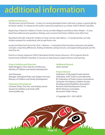### additional information

#### **Additional Resources**

*The Moccasins* by Earl Einarson—A story of a young Aboriginal foster child who is given a special gift by his foster mother. It is based on the author's personal experience as a foster child in British Columbia.

*Maybe Days A Book for Children in Foster Care* by Jennifer Wilgocki and Marcia Kahn Wright—A story book that addresses the questions, feelings, and concerns that foster children most often face.

*Kids Need to Be Safe: A Book for Children in Foster Care* by Julie Nelson—A storybook that can help children prepare for, understand, and accept foster care.

*Accept and Value Each Person* by Cheri J. Meiners—A storybook that introduces diversity and related concepts: respecting differences, finding similarities, being inclusive, and appreciating people just the way they are.

*Parents as Literary Supporters* (PALS) Aboriginal Family Literacy Resource. 2010 Legacies Now & Government of British Columbia. A resource to help parents support literacy and learning.

#### **Project Initiation and Direction**

Kathy Berggren-Clive, Director of Advocacy Ministry of Children and Family Development

Jane Rousseau Manager, Aboriginal Policy and Support Services Ministry of Children and Family Development

#### **Publication Development**

Christina Thiele, Tina Tam, and Andrea Lemire Society for Children and Youth of BC www.scyofbc.org

**Additional Artwork**  Jamin Zuroski

#### **Project Advisors**

Federation of Aboriginal Foster Parents Federation of BC Youth in Care Networks BC Federation of Foster Parents Associations Caring for First Nations Children Society Developmental Disabilities Association: Berwick Child Development Centre MCFD Advisory Committee Vancouver Public Library

© Copyright 2011, 2013 MCFD